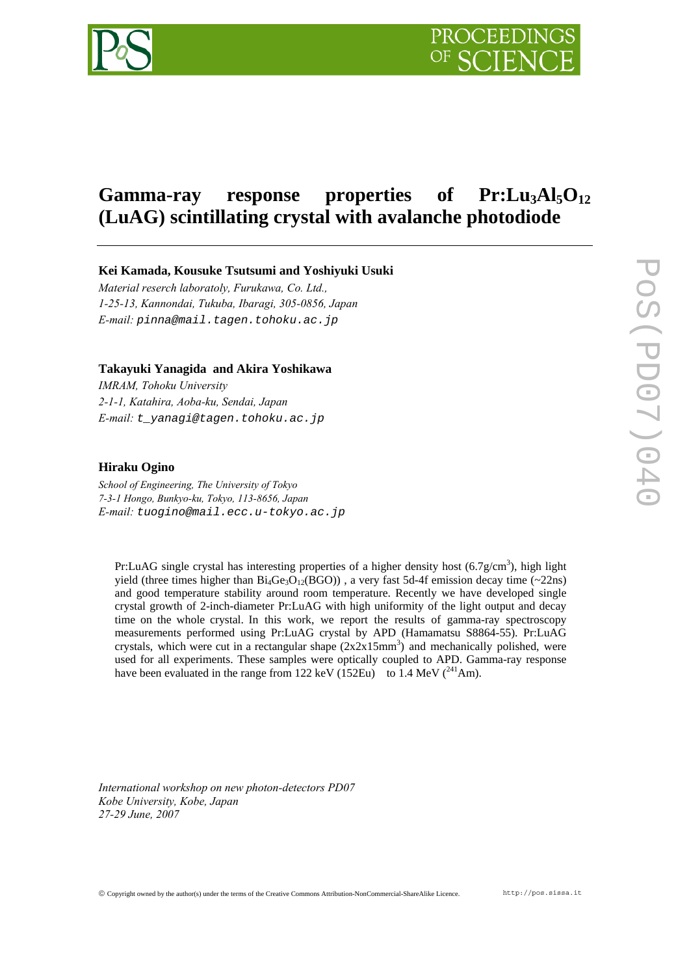

# Gamma-ray response properties of Pr:Lu<sub>3</sub>Al<sub>5</sub>O<sub>12</sub> **(LuAG) scintillating crystal with avalanche photodiode**

**Kei Kamada, Kousuke Tsutsumi and Yoshiyuki Usuki** 

*Material reserch laboratoly, Furukawa, Co. Ltd., 1-25-13, Kannondai, Tukuba, Ibaragi, 305-0856, Japan E-mail: pinna@mail.tagen.tohoku.ac.jp* 

#### **Takayuki Yanagida and Akira Yoshikawa**

*IMRAM, Tohoku University 2-1-1, Katahira, Aoba-ku, Sendai, Japan E-mail: t\_yanagi@tagen.tohoku.ac.jp*

### **Hiraku Ogino**

*School of Engineering, The University of Tokyo 7-3-1 Hongo, Bunkyo-ku, Tokyo, 113-8656, Japan E-mail: tuogino@mail.ecc.u-tokyo.ac.jp*

Pr:LuAG single crystal has interesting properties of a higher density host  $(6.7g/cm<sup>3</sup>)$ , high light yield (three times higher than  $Bi_4Ge_3O_{12}(BGO)$ ), a very fast 5d-4f emission decay time (~22ns) and good temperature stability around room temperature. Recently we have developed single crystal growth of 2-inch-diameter Pr:LuAG with high uniformity of the light output and decay time on the whole crystal. In this work, we report the results of gamma-ray spectroscopy measurements performed using Pr:LuAG crystal by APD (Hamamatsu S8864-55). Pr:LuAG crystals, which were cut in a rectangular shape  $(2x2x15mm^3)$  and mechanically polished, were used for all experiments. These samples were optically coupled to APD. Gamma-ray response have been evaluated in the range from 122 keV (152Eu) to 1.4 MeV  $(^{241}Am)$ .

*International workshop on new photon-detectors PD07 Kobe University, Kobe, Japan 27-29 June, 2007*

© Copyright owned by the author(s) under the terms of the Creative Commons Attribution-NonCommercial-ShareAlike Licence. http://pos.sissa.it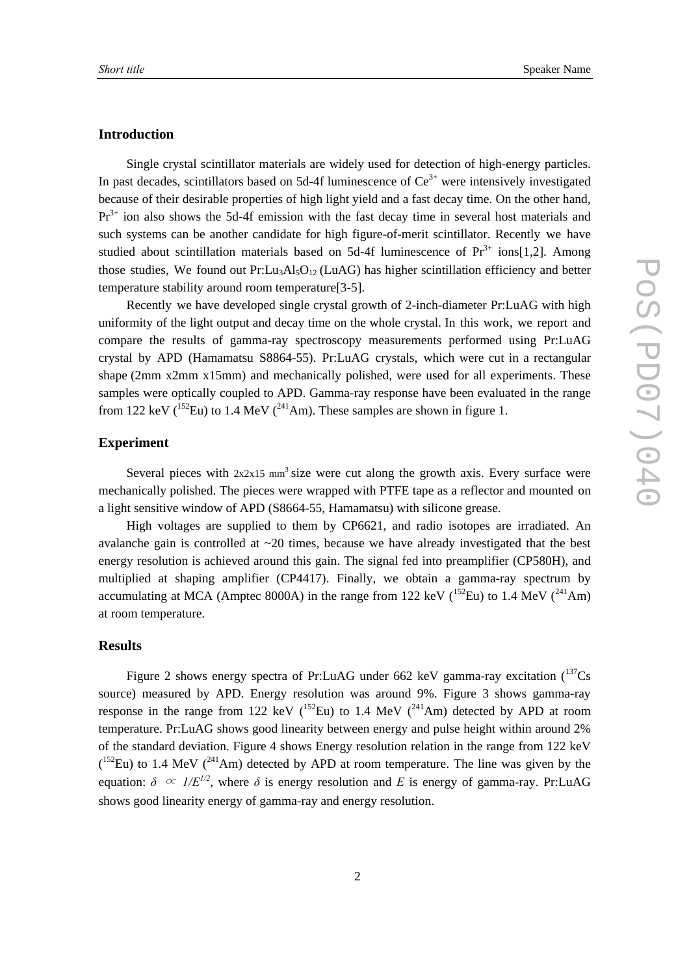## **Introduction**

Single crystal scintillator materials are widely used for detection of high-energy particles. In past decades, scintillators based on 5d-4f luminescence of  $Ce<sup>3+</sup>$  were intensively investigated because of their desirable properties of high light yield and a fast decay time. On the other hand,  $Pr<sup>3+</sup>$  ion also shows the 5d-4f emission with the fast decay time in several host materials and such systems can be another candidate for high figure-of-merit scintillator. Recently we have studied about scintillation materials based on 5d-4f luminescence of  $Pr<sup>3+</sup>$  ions[1,2]. Among those studies, We found out  $Pr: Lu_3Al_5O_{12}$  (LuAG) has higher scintillation efficiency and better temperature stability around room temperature[3-5].

Recently we have developed single crystal growth of 2-inch-diameter Pr:LuAG with high uniformity of the light output and decay time on the whole crystal. In this work, we report and compare the results of gamma-ray spectroscopy measurements performed using Pr:LuAG crystal by APD (Hamamatsu S8864-55). Pr:LuAG crystals, which were cut in a rectangular shape (2mm x2mm x15mm) and mechanically polished, were used for all experiments. These samples were optically coupled to APD. Gamma-ray response have been evaluated in the range from 122 keV ( $^{152}$ Eu) to 1.4 MeV ( $^{241}$ Am). These samples are shown in figure 1.

## **Experiment**

Several pieces with  $2x2x15$  mm<sup>3</sup> size were cut along the growth axis. Every surface were mechanically polished. The pieces were wrapped with PTFE tape as a reflector and mounted on a light sensitive window of APD (S8664-55, Hamamatsu) with silicone grease.

High voltages are supplied to them by CP6621, and radio isotopes are irradiated. An avalanche gain is controlled at  $\sim$ 20 times, because we have already investigated that the best energy resolution is achieved around this gain. The signal fed into preamplifier (CP580H), and multiplied at shaping amplifier (CP4417). Finally, we obtain a gamma-ray spectrum by accumulating at MCA (Amptec 8000A) in the range from 122 keV ( $^{152}$ Eu) to 1.4 MeV ( $^{241}$ Am) at room temperature.

#### **Results**

Figure 2 shows energy spectra of Pr:LuAG under 662 keV gamma-ray excitation  $(^{137}Cs$ source) measured by APD. Energy resolution was around 9%. Figure 3 shows gamma-ray response in the range from 122 keV ( $^{152}$ Eu) to 1.4 MeV ( $^{241}$ Am) detected by APD at room temperature. Pr:LuAG shows good linearity between energy and pulse height within around 2% of the standard deviation. Figure 4 shows Energy resolution relation in the range from 122 keV  $(152)$  to 1.4 MeV  $(241)$ Am) detected by APD at room temperature. The line was given by the equation:  $\delta \propto I/E^{1/2}$ , where  $\delta$  is energy resolution and *E* is energy of gamma-ray. Pr:LuAG shows good linearity energy of gamma-ray and energy resolution.